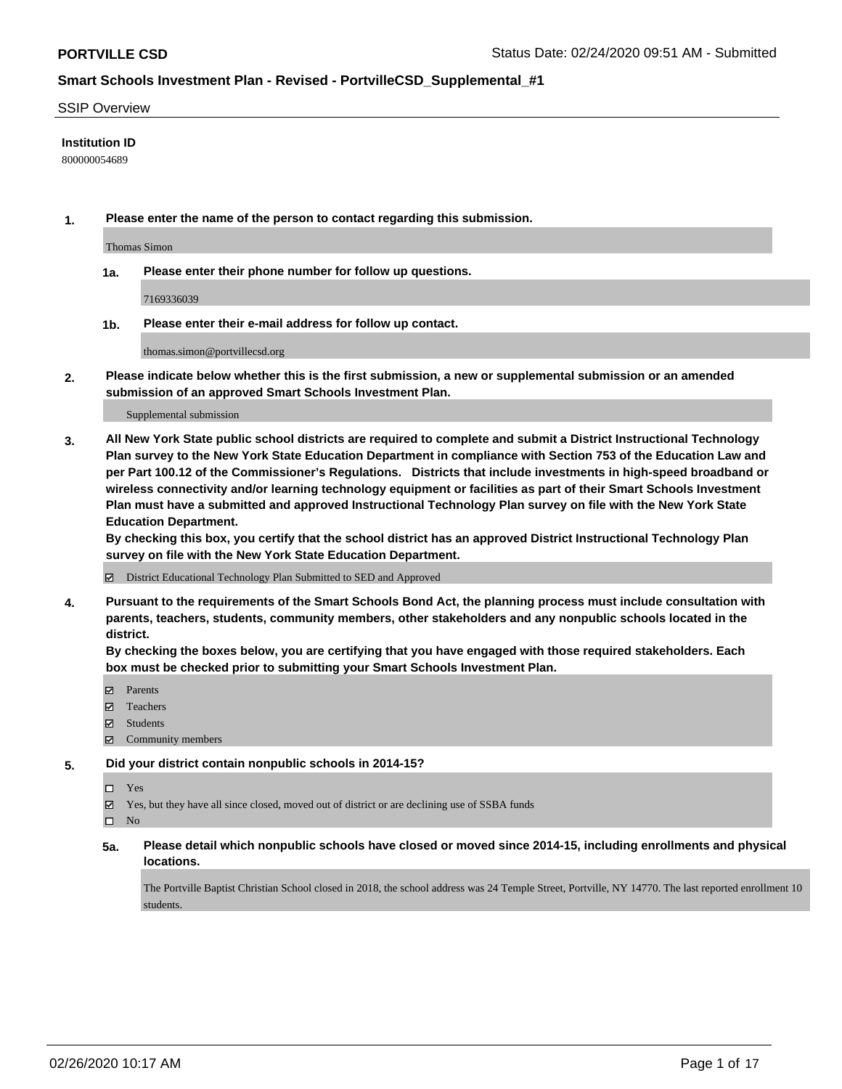#### SSIP Overview

### **Institution ID**

800000054689

**1. Please enter the name of the person to contact regarding this submission.**

Thomas Simon

**1a. Please enter their phone number for follow up questions.**

7169336039

**1b. Please enter their e-mail address for follow up contact.**

thomas.simon@portvillecsd.org

**2. Please indicate below whether this is the first submission, a new or supplemental submission or an amended submission of an approved Smart Schools Investment Plan.**

#### Supplemental submission

**3. All New York State public school districts are required to complete and submit a District Instructional Technology Plan survey to the New York State Education Department in compliance with Section 753 of the Education Law and per Part 100.12 of the Commissioner's Regulations. Districts that include investments in high-speed broadband or wireless connectivity and/or learning technology equipment or facilities as part of their Smart Schools Investment Plan must have a submitted and approved Instructional Technology Plan survey on file with the New York State Education Department.** 

**By checking this box, you certify that the school district has an approved District Instructional Technology Plan survey on file with the New York State Education Department.**

District Educational Technology Plan Submitted to SED and Approved

**4. Pursuant to the requirements of the Smart Schools Bond Act, the planning process must include consultation with parents, teachers, students, community members, other stakeholders and any nonpublic schools located in the district.** 

**By checking the boxes below, you are certifying that you have engaged with those required stakeholders. Each box must be checked prior to submitting your Smart Schools Investment Plan.**

- Parents
- Teachers
- Students
- Community members

#### **5. Did your district contain nonpublic schools in 2014-15?**

Yes

Yes, but they have all since closed, moved out of district or are declining use of SSBA funds

 $\square$  No

**5a. Please detail which nonpublic schools have closed or moved since 2014-15, including enrollments and physical locations.**

The Portville Baptist Christian School closed in 2018, the school address was 24 Temple Street, Portville, NY 14770. The last reported enrollment 10 students.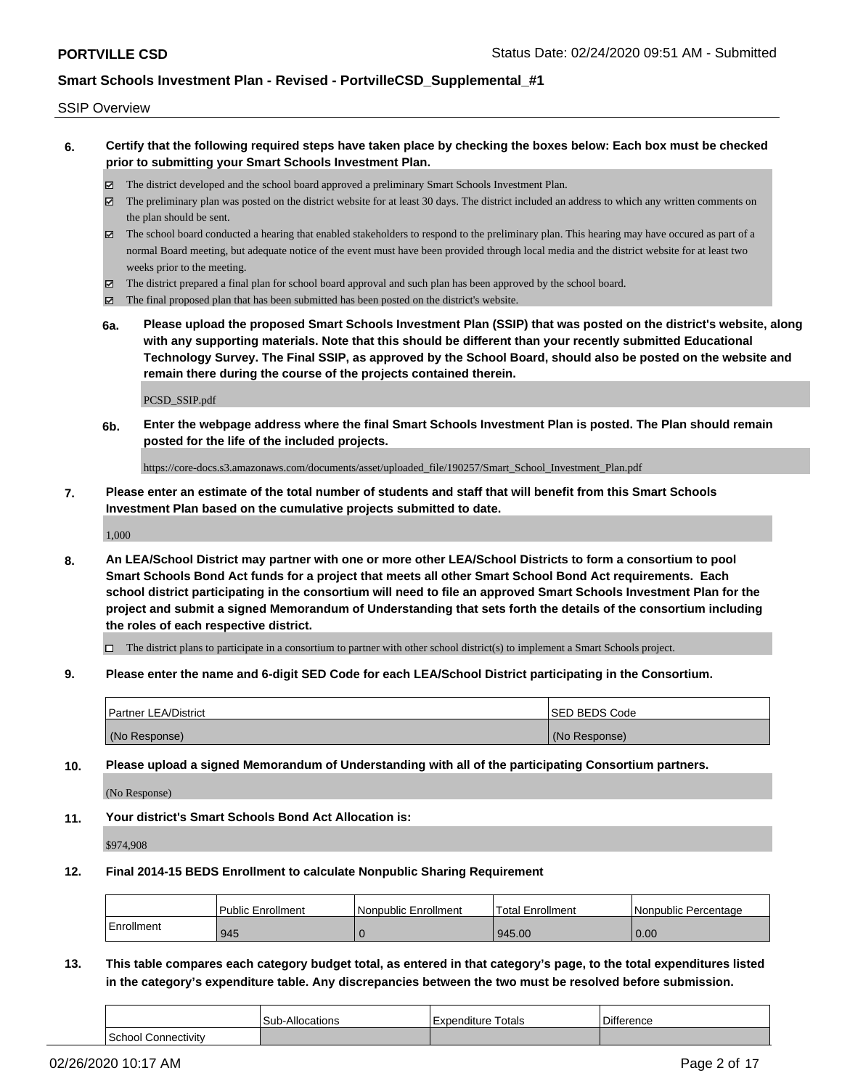#### SSIP Overview

- **6. Certify that the following required steps have taken place by checking the boxes below: Each box must be checked prior to submitting your Smart Schools Investment Plan.**
	- The district developed and the school board approved a preliminary Smart Schools Investment Plan.
	- The preliminary plan was posted on the district website for at least 30 days. The district included an address to which any written comments on the plan should be sent.
	- The school board conducted a hearing that enabled stakeholders to respond to the preliminary plan. This hearing may have occured as part of a normal Board meeting, but adequate notice of the event must have been provided through local media and the district website for at least two weeks prior to the meeting.
	- The district prepared a final plan for school board approval and such plan has been approved by the school board.
	- The final proposed plan that has been submitted has been posted on the district's website.
	- **6a. Please upload the proposed Smart Schools Investment Plan (SSIP) that was posted on the district's website, along with any supporting materials. Note that this should be different than your recently submitted Educational Technology Survey. The Final SSIP, as approved by the School Board, should also be posted on the website and remain there during the course of the projects contained therein.**

PCSD\_SSIP.pdf

**6b. Enter the webpage address where the final Smart Schools Investment Plan is posted. The Plan should remain posted for the life of the included projects.**

https://core-docs.s3.amazonaws.com/documents/asset/uploaded\_file/190257/Smart\_School\_Investment\_Plan.pdf

**7. Please enter an estimate of the total number of students and staff that will benefit from this Smart Schools Investment Plan based on the cumulative projects submitted to date.**

1,000

**8. An LEA/School District may partner with one or more other LEA/School Districts to form a consortium to pool Smart Schools Bond Act funds for a project that meets all other Smart School Bond Act requirements. Each school district participating in the consortium will need to file an approved Smart Schools Investment Plan for the project and submit a signed Memorandum of Understanding that sets forth the details of the consortium including the roles of each respective district.**

 $\Box$  The district plans to participate in a consortium to partner with other school district(s) to implement a Smart Schools project.

**9. Please enter the name and 6-digit SED Code for each LEA/School District participating in the Consortium.**

| <b>Partner LEA/District</b> | ISED BEDS Code |
|-----------------------------|----------------|
| (No Response)               | (No Response)  |

**10. Please upload a signed Memorandum of Understanding with all of the participating Consortium partners.**

(No Response)

**11. Your district's Smart Schools Bond Act Allocation is:**

\$974,908

**12. Final 2014-15 BEDS Enrollment to calculate Nonpublic Sharing Requirement**

|            | l Public Enrollment | Nonpublic Enrollment | <b>Total Enrollment</b> | Nonpublic Percentage |
|------------|---------------------|----------------------|-------------------------|----------------------|
| Enrollment | 945                 |                      | 945.00                  | 0.00                 |

**13. This table compares each category budget total, as entered in that category's page, to the total expenditures listed in the category's expenditure table. Any discrepancies between the two must be resolved before submission.**

|                            | <b>Sub-Allocations</b> | Totals<br>Expenditure | <b>Difference</b> |
|----------------------------|------------------------|-----------------------|-------------------|
| <b>School Connectivity</b> |                        |                       |                   |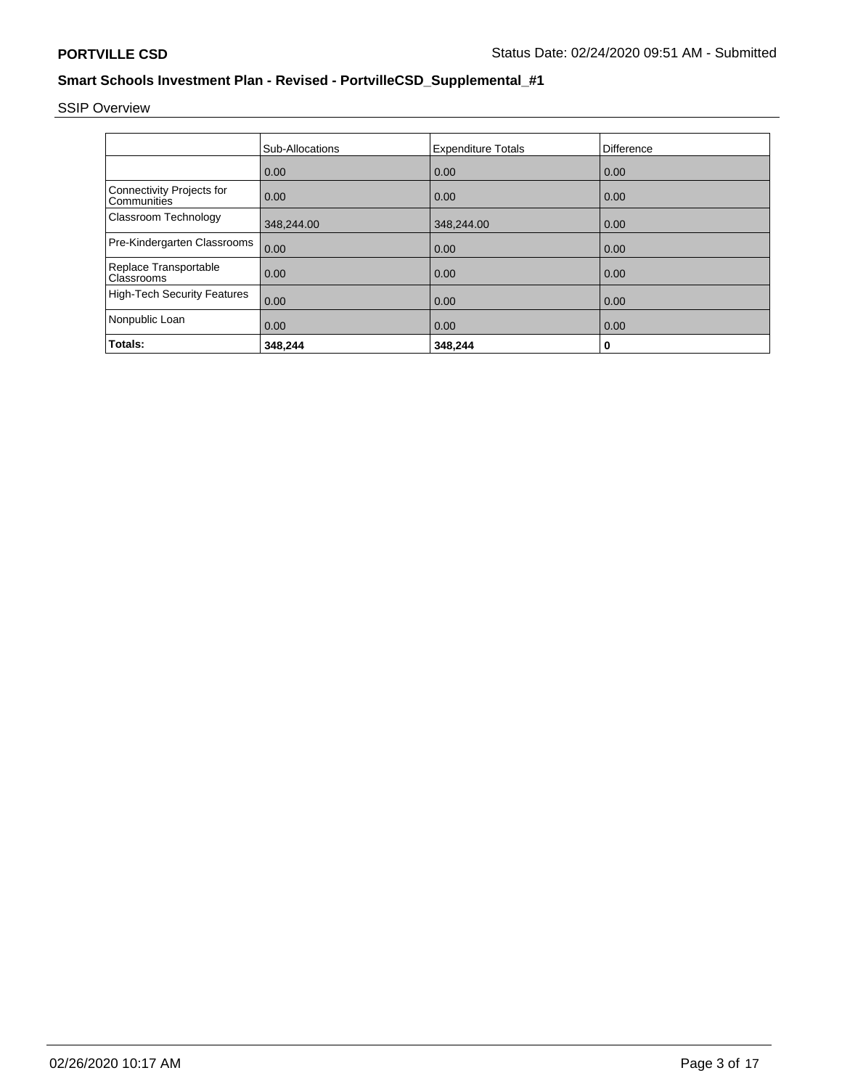SSIP Overview

|                                            | Sub-Allocations | <b>Expenditure Totals</b> | <b>Difference</b> |
|--------------------------------------------|-----------------|---------------------------|-------------------|
|                                            | 0.00            | 0.00                      | 0.00              |
| Connectivity Projects for<br>Communities   | 0.00            | 0.00                      | 0.00              |
| Classroom Technology                       | 348,244.00      | 348,244.00                | 0.00              |
| Pre-Kindergarten Classrooms                | 0.00            | 0.00                      | 0.00              |
| Replace Transportable<br><b>Classrooms</b> | 0.00            | 0.00                      | 0.00              |
| High-Tech Security Features                | 0.00            | 0.00                      | 0.00              |
| Nonpublic Loan                             | 0.00            | 0.00                      | 0.00              |
| Totals:                                    | 348,244         | 348,244                   | 0                 |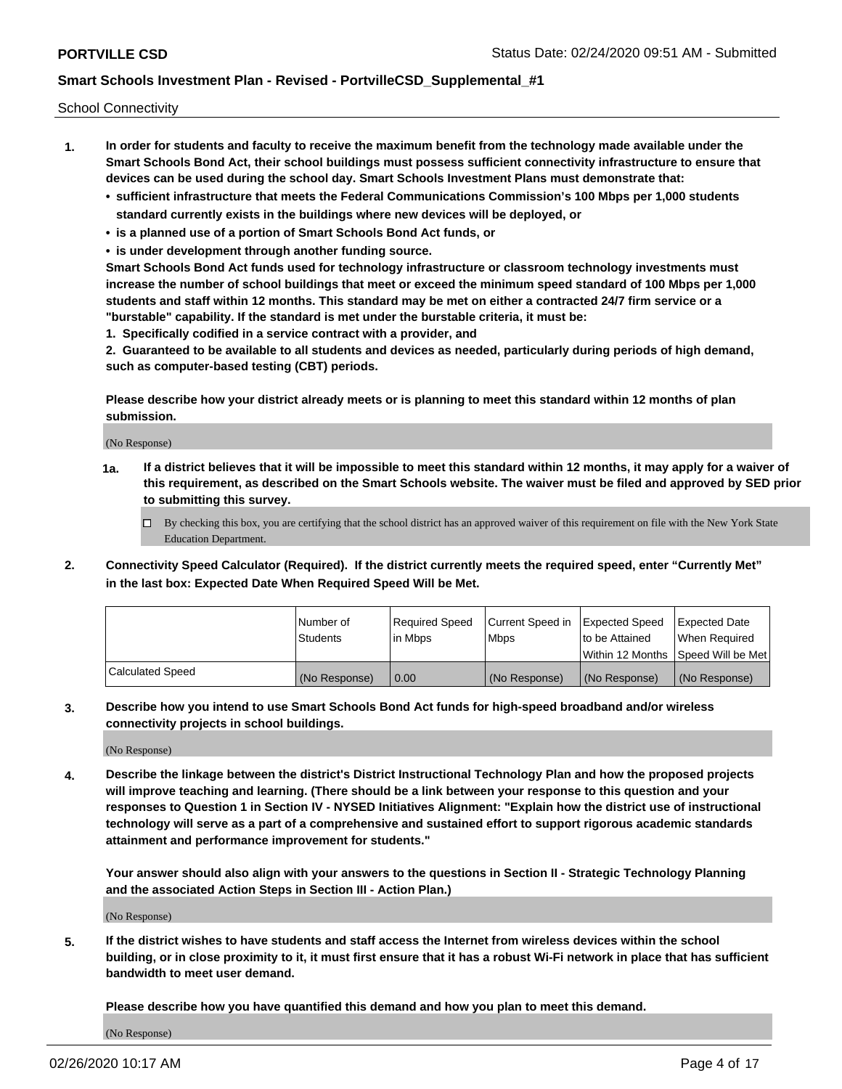School Connectivity

- **1. In order for students and faculty to receive the maximum benefit from the technology made available under the Smart Schools Bond Act, their school buildings must possess sufficient connectivity infrastructure to ensure that devices can be used during the school day. Smart Schools Investment Plans must demonstrate that:**
	- **• sufficient infrastructure that meets the Federal Communications Commission's 100 Mbps per 1,000 students standard currently exists in the buildings where new devices will be deployed, or**
	- **• is a planned use of a portion of Smart Schools Bond Act funds, or**
	- **• is under development through another funding source.**

**Smart Schools Bond Act funds used for technology infrastructure or classroom technology investments must increase the number of school buildings that meet or exceed the minimum speed standard of 100 Mbps per 1,000 students and staff within 12 months. This standard may be met on either a contracted 24/7 firm service or a "burstable" capability. If the standard is met under the burstable criteria, it must be:**

**1. Specifically codified in a service contract with a provider, and**

**2. Guaranteed to be available to all students and devices as needed, particularly during periods of high demand, such as computer-based testing (CBT) periods.**

**Please describe how your district already meets or is planning to meet this standard within 12 months of plan submission.**

(No Response)

**1a. If a district believes that it will be impossible to meet this standard within 12 months, it may apply for a waiver of this requirement, as described on the Smart Schools website. The waiver must be filed and approved by SED prior to submitting this survey.**

 $\Box$  By checking this box, you are certifying that the school district has an approved waiver of this requirement on file with the New York State Education Department.

**2. Connectivity Speed Calculator (Required). If the district currently meets the required speed, enter "Currently Met" in the last box: Expected Date When Required Speed Will be Met.**

|                  | l Number of     | Required Speed | Current Speed in | Expected Speed | Expected Date                           |
|------------------|-----------------|----------------|------------------|----------------|-----------------------------------------|
|                  | <b>Students</b> | In Mbps        | l Mbps           | to be Attained | When Required                           |
|                  |                 |                |                  |                | l Within 12 Months ISpeed Will be Met l |
| Calculated Speed | (No Response)   | 0.00           | (No Response)    | (No Response)  | (No Response)                           |

**3. Describe how you intend to use Smart Schools Bond Act funds for high-speed broadband and/or wireless connectivity projects in school buildings.**

(No Response)

**4. Describe the linkage between the district's District Instructional Technology Plan and how the proposed projects will improve teaching and learning. (There should be a link between your response to this question and your responses to Question 1 in Section IV - NYSED Initiatives Alignment: "Explain how the district use of instructional technology will serve as a part of a comprehensive and sustained effort to support rigorous academic standards attainment and performance improvement for students."** 

**Your answer should also align with your answers to the questions in Section II - Strategic Technology Planning and the associated Action Steps in Section III - Action Plan.)**

(No Response)

**5. If the district wishes to have students and staff access the Internet from wireless devices within the school building, or in close proximity to it, it must first ensure that it has a robust Wi-Fi network in place that has sufficient bandwidth to meet user demand.**

**Please describe how you have quantified this demand and how you plan to meet this demand.**

(No Response)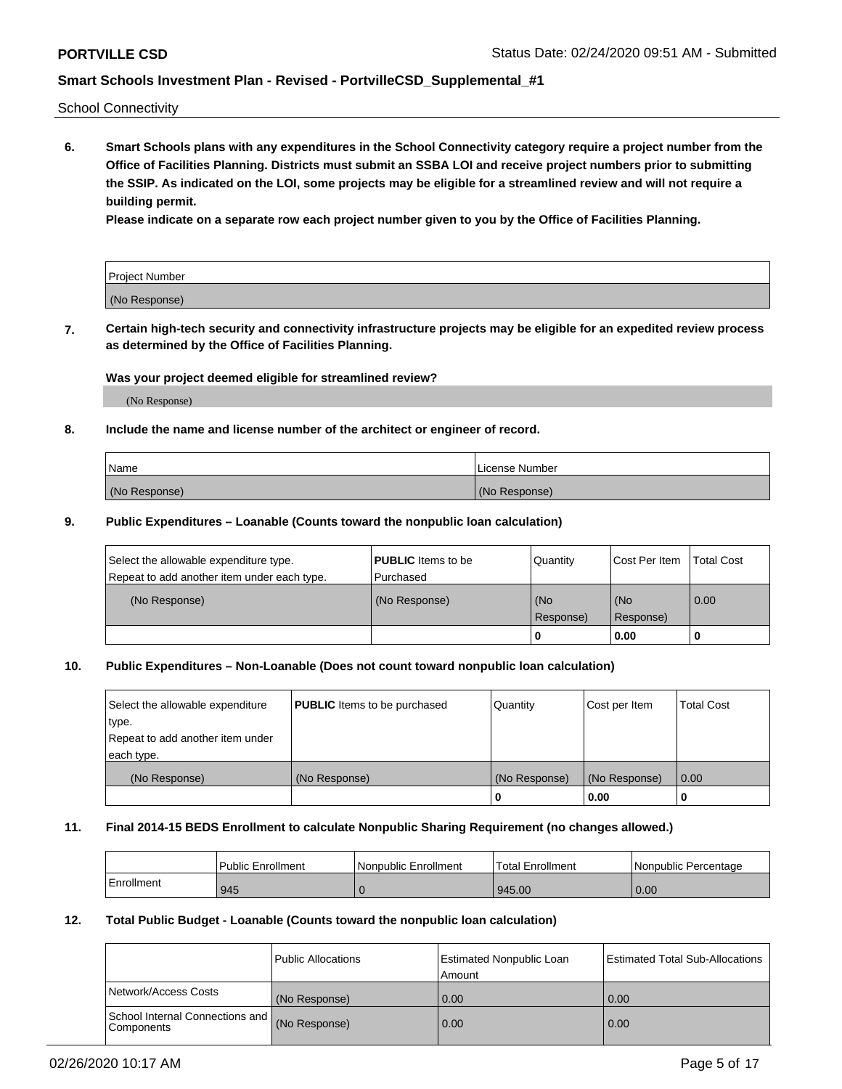School Connectivity

**6. Smart Schools plans with any expenditures in the School Connectivity category require a project number from the Office of Facilities Planning. Districts must submit an SSBA LOI and receive project numbers prior to submitting the SSIP. As indicated on the LOI, some projects may be eligible for a streamlined review and will not require a building permit.**

**Please indicate on a separate row each project number given to you by the Office of Facilities Planning.**

| Project Number |  |
|----------------|--|
| (No Response)  |  |

**7. Certain high-tech security and connectivity infrastructure projects may be eligible for an expedited review process as determined by the Office of Facilities Planning.**

### **Was your project deemed eligible for streamlined review?**

(No Response)

### **8. Include the name and license number of the architect or engineer of record.**

| Name          | License Number |
|---------------|----------------|
| (No Response) | (No Response)  |

### **9. Public Expenditures – Loanable (Counts toward the nonpublic loan calculation)**

| Select the allowable expenditure type.<br>Repeat to add another item under each type. | <b>PUBLIC</b> Items to be<br>l Purchased | Quantity           | Cost Per Item    | <b>Total Cost</b> |
|---------------------------------------------------------------------------------------|------------------------------------------|--------------------|------------------|-------------------|
| (No Response)                                                                         | (No Response)                            | l (No<br>Response) | (No<br>Response) | $\overline{0.00}$ |
|                                                                                       |                                          | 0                  | 0.00             |                   |

### **10. Public Expenditures – Non-Loanable (Does not count toward nonpublic loan calculation)**

| Select the allowable expenditure<br>type.<br>Repeat to add another item under<br>each type. | <b>PUBLIC</b> Items to be purchased | Quantity      | Cost per Item | <b>Total Cost</b> |
|---------------------------------------------------------------------------------------------|-------------------------------------|---------------|---------------|-------------------|
| (No Response)                                                                               | (No Response)                       | (No Response) | (No Response) | 0.00              |
|                                                                                             |                                     |               | 0.00          |                   |

#### **11. Final 2014-15 BEDS Enrollment to calculate Nonpublic Sharing Requirement (no changes allowed.)**

|            | Public Enrollment | Nonpublic Enrollment | <b>Total Enrollment</b> | l Nonpublic Percentage |
|------------|-------------------|----------------------|-------------------------|------------------------|
| Enrollment | 945               |                      | 945.00                  | 0.00                   |

### **12. Total Public Budget - Loanable (Counts toward the nonpublic loan calculation)**

|                                                      | Public Allocations | <b>Estimated Nonpublic Loan</b><br>Amount | Estimated Total Sub-Allocations |
|------------------------------------------------------|--------------------|-------------------------------------------|---------------------------------|
| Network/Access Costs                                 | (No Response)      | 0.00                                      | 0.00                            |
| School Internal Connections and<br><b>Components</b> | (No Response)      | 0.00                                      | 0.00                            |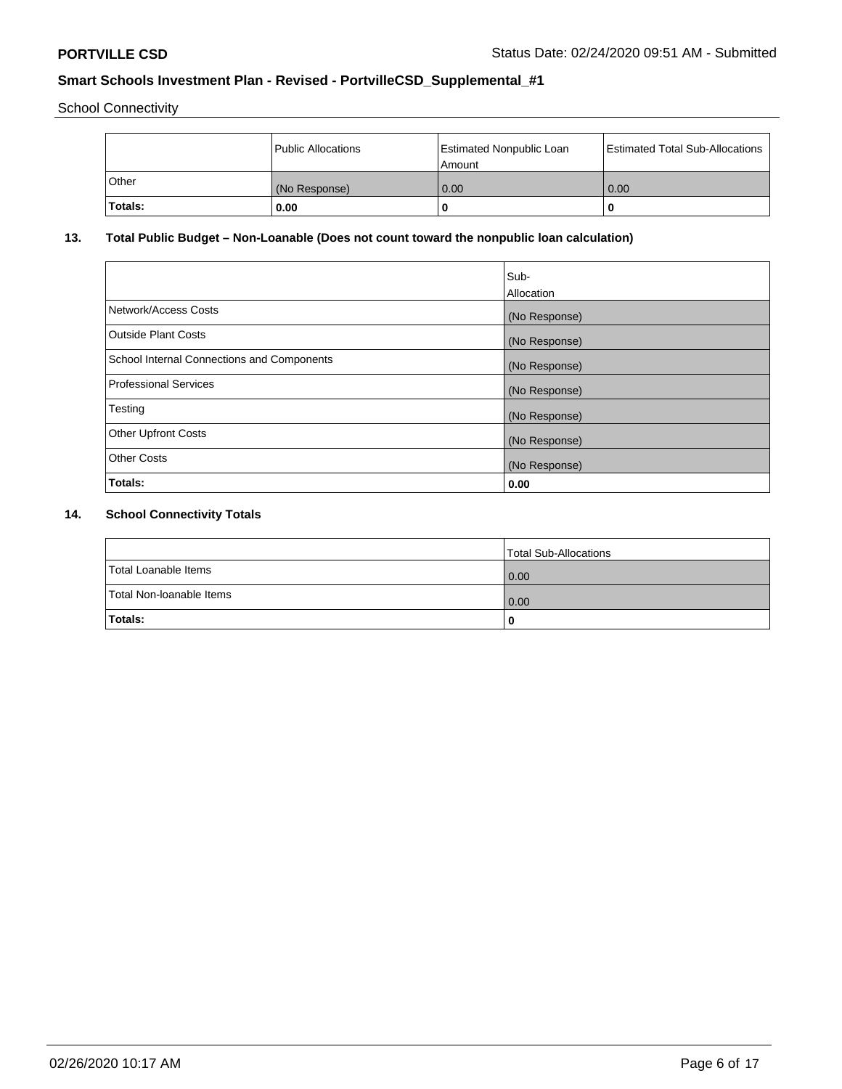School Connectivity

|              | Public Allocations | <b>Estimated Nonpublic Loan</b><br>l Amount | <b>Estimated Total Sub-Allocations</b> |
|--------------|--------------------|---------------------------------------------|----------------------------------------|
| <b>Other</b> | (No Response)      | 0.00                                        | 0.00                                   |
| Totals:      | 0.00               | 0                                           |                                        |

# **13. Total Public Budget – Non-Loanable (Does not count toward the nonpublic loan calculation)**

|                                                   | Sub-<br>Allocation |
|---------------------------------------------------|--------------------|
| Network/Access Costs                              | (No Response)      |
| <b>Outside Plant Costs</b>                        | (No Response)      |
| <b>School Internal Connections and Components</b> | (No Response)      |
| <b>Professional Services</b>                      | (No Response)      |
| Testing                                           | (No Response)      |
| <b>Other Upfront Costs</b>                        | (No Response)      |
| <b>Other Costs</b>                                | (No Response)      |
| Totals:                                           | 0.00               |

# **14. School Connectivity Totals**

|                          | Total Sub-Allocations |
|--------------------------|-----------------------|
| Total Loanable Items     | 0.00                  |
| Total Non-Ioanable Items | 0.00                  |
| Totals:                  | 0                     |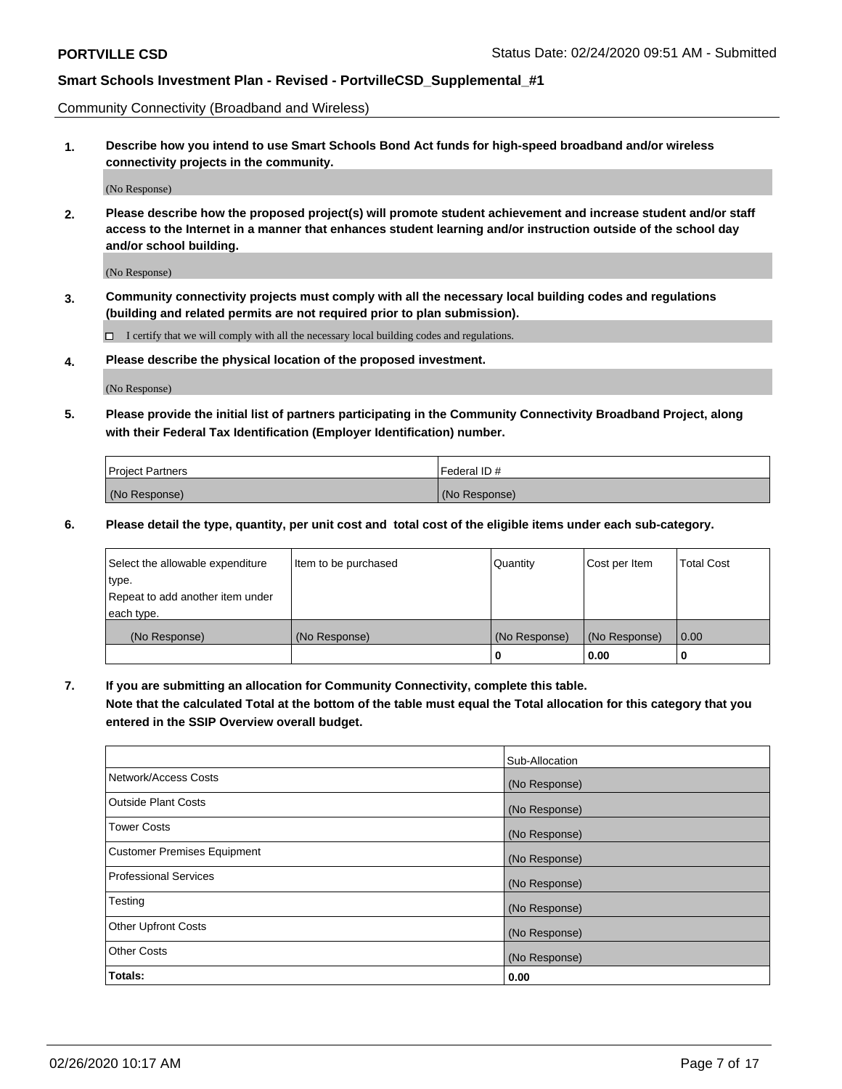Community Connectivity (Broadband and Wireless)

**1. Describe how you intend to use Smart Schools Bond Act funds for high-speed broadband and/or wireless connectivity projects in the community.**

(No Response)

**2. Please describe how the proposed project(s) will promote student achievement and increase student and/or staff access to the Internet in a manner that enhances student learning and/or instruction outside of the school day and/or school building.**

(No Response)

**3. Community connectivity projects must comply with all the necessary local building codes and regulations (building and related permits are not required prior to plan submission).**

 $\Box$  I certify that we will comply with all the necessary local building codes and regulations.

**4. Please describe the physical location of the proposed investment.**

(No Response)

**5. Please provide the initial list of partners participating in the Community Connectivity Broadband Project, along with their Federal Tax Identification (Employer Identification) number.**

| <b>Project Partners</b> | l Federal ID # |
|-------------------------|----------------|
| (No Response)           | (No Response)  |

**6. Please detail the type, quantity, per unit cost and total cost of the eligible items under each sub-category.**

| Select the allowable expenditure | Item to be purchased | Quantity      | Cost per Item | <b>Total Cost</b> |
|----------------------------------|----------------------|---------------|---------------|-------------------|
| type.                            |                      |               |               |                   |
| Repeat to add another item under |                      |               |               |                   |
| each type.                       |                      |               |               |                   |
| (No Response)                    | (No Response)        | (No Response) | (No Response) | 0.00              |
|                                  |                      | U             | 0.00          |                   |

**7. If you are submitting an allocation for Community Connectivity, complete this table.**

**Note that the calculated Total at the bottom of the table must equal the Total allocation for this category that you entered in the SSIP Overview overall budget.**

|                                    | Sub-Allocation |
|------------------------------------|----------------|
| Network/Access Costs               | (No Response)  |
| Outside Plant Costs                | (No Response)  |
| <b>Tower Costs</b>                 | (No Response)  |
| <b>Customer Premises Equipment</b> | (No Response)  |
| <b>Professional Services</b>       | (No Response)  |
| Testing                            | (No Response)  |
| <b>Other Upfront Costs</b>         | (No Response)  |
| <b>Other Costs</b>                 | (No Response)  |
| Totals:                            | 0.00           |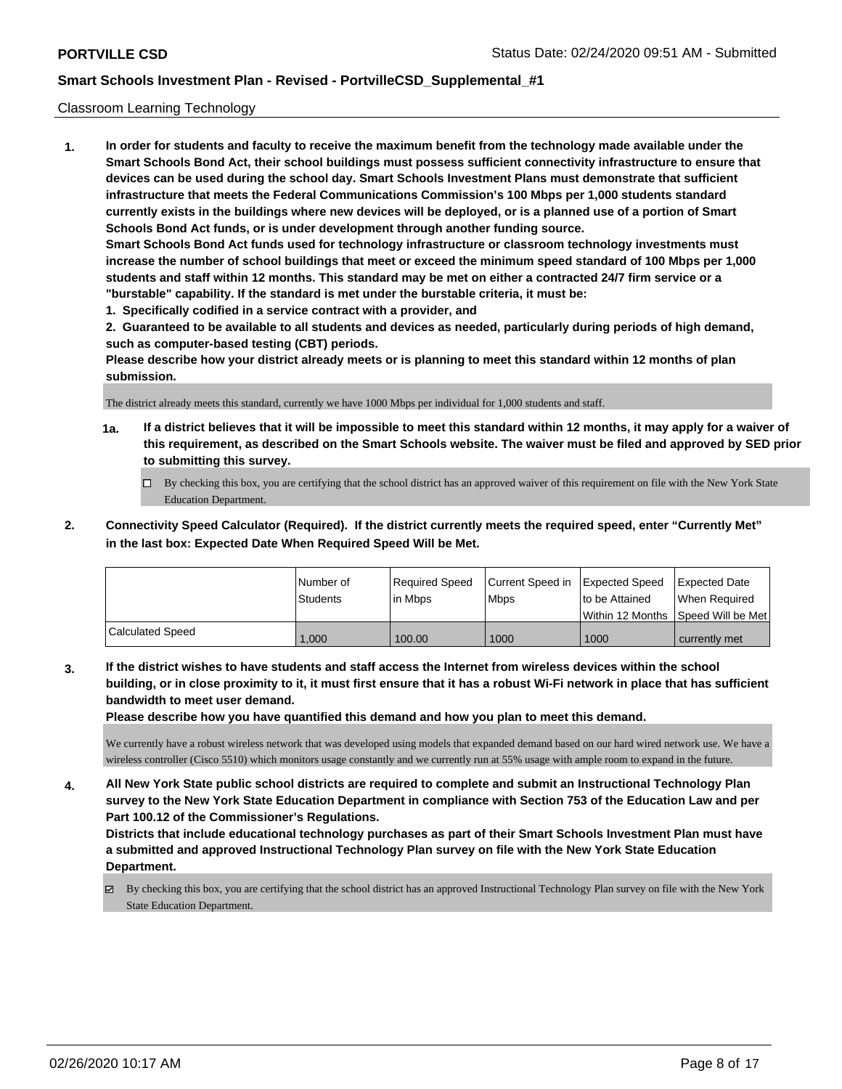### Classroom Learning Technology

**1. In order for students and faculty to receive the maximum benefit from the technology made available under the Smart Schools Bond Act, their school buildings must possess sufficient connectivity infrastructure to ensure that devices can be used during the school day. Smart Schools Investment Plans must demonstrate that sufficient infrastructure that meets the Federal Communications Commission's 100 Mbps per 1,000 students standard currently exists in the buildings where new devices will be deployed, or is a planned use of a portion of Smart Schools Bond Act funds, or is under development through another funding source. Smart Schools Bond Act funds used for technology infrastructure or classroom technology investments must increase the number of school buildings that meet or exceed the minimum speed standard of 100 Mbps per 1,000 students and staff within 12 months. This standard may be met on either a contracted 24/7 firm service or a "burstable" capability. If the standard is met under the burstable criteria, it must be:**

**1. Specifically codified in a service contract with a provider, and**

**2. Guaranteed to be available to all students and devices as needed, particularly during periods of high demand, such as computer-based testing (CBT) periods.**

**Please describe how your district already meets or is planning to meet this standard within 12 months of plan submission.**

The district already meets this standard, currently we have 1000 Mbps per individual for 1,000 students and staff.

- **1a. If a district believes that it will be impossible to meet this standard within 12 months, it may apply for a waiver of this requirement, as described on the Smart Schools website. The waiver must be filed and approved by SED prior to submitting this survey.**
	- By checking this box, you are certifying that the school district has an approved waiver of this requirement on file with the New York State Education Department.
- **2. Connectivity Speed Calculator (Required). If the district currently meets the required speed, enter "Currently Met" in the last box: Expected Date When Required Speed Will be Met.**

|                  | l Number of     | Required Speed | Current Speed in Expected Speed |                | <b>Expected Date</b>                 |
|------------------|-----------------|----------------|---------------------------------|----------------|--------------------------------------|
|                  | <b>Students</b> | lin Mbps       | <b>Mbps</b>                     | to be Attained | When Required                        |
|                  |                 |                |                                 |                | Within 12 Months 1Speed Will be Met1 |
| Calculated Speed | 1.000           | 100.00         | 1000                            | 1000           | currently met                        |

**3. If the district wishes to have students and staff access the Internet from wireless devices within the school building, or in close proximity to it, it must first ensure that it has a robust Wi-Fi network in place that has sufficient bandwidth to meet user demand.**

**Please describe how you have quantified this demand and how you plan to meet this demand.**

We currently have a robust wireless network that was developed using models that expanded demand based on our hard wired network use. We have a wireless controller (Cisco 5510) which monitors usage constantly and we currently run at 55% usage with ample room to expand in the future.

**4. All New York State public school districts are required to complete and submit an Instructional Technology Plan survey to the New York State Education Department in compliance with Section 753 of the Education Law and per Part 100.12 of the Commissioner's Regulations.**

**Districts that include educational technology purchases as part of their Smart Schools Investment Plan must have a submitted and approved Instructional Technology Plan survey on file with the New York State Education Department.**

 $\boxtimes$  By checking this box, you are certifying that the school district has an approved Instructional Technology Plan survey on file with the New York State Education Department.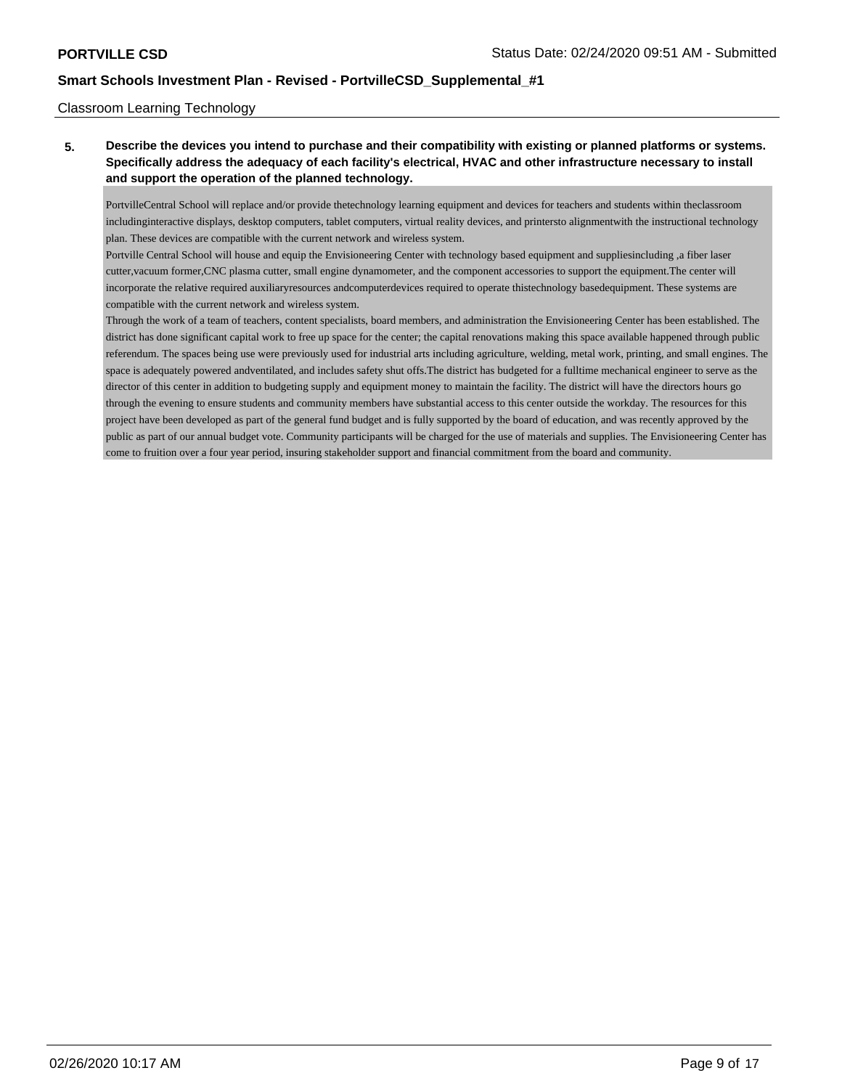### Classroom Learning Technology

**5. Describe the devices you intend to purchase and their compatibility with existing or planned platforms or systems. Specifically address the adequacy of each facility's electrical, HVAC and other infrastructure necessary to install and support the operation of the planned technology.**

PortvilleCentral School will replace and/or provide thetechnology learning equipment and devices for teachers and students within theclassroom includinginteractive displays, desktop computers, tablet computers, virtual reality devices, and printersto alignmentwith the instructional technology plan. These devices are compatible with the current network and wireless system.

Portville Central School will house and equip the Envisioneering Center with technology based equipment and suppliesincluding ,a fiber laser cutter,vacuum former,CNC plasma cutter, small engine dynamometer, and the component accessories to support the equipment.The center will incorporate the relative required auxiliaryresources andcomputerdevices required to operate thistechnology basedequipment. These systems are compatible with the current network and wireless system.

Through the work of a team of teachers, content specialists, board members, and administration the Envisioneering Center has been established. The district has done significant capital work to free up space for the center; the capital renovations making this space available happened through public referendum. The spaces being use were previously used for industrial arts including agriculture, welding, metal work, printing, and small engines. The space is adequately powered andventilated, and includes safety shut offs.The district has budgeted for a fulltime mechanical engineer to serve as the director of this center in addition to budgeting supply and equipment money to maintain the facility. The district will have the directors hours go through the evening to ensure students and community members have substantial access to this center outside the workday. The resources for this project have been developed as part of the general fund budget and is fully supported by the board of education, and was recently approved by the public as part of our annual budget vote. Community participants will be charged for the use of materials and supplies. The Envisioneering Center has come to fruition over a four year period, insuring stakeholder support and financial commitment from the board and community.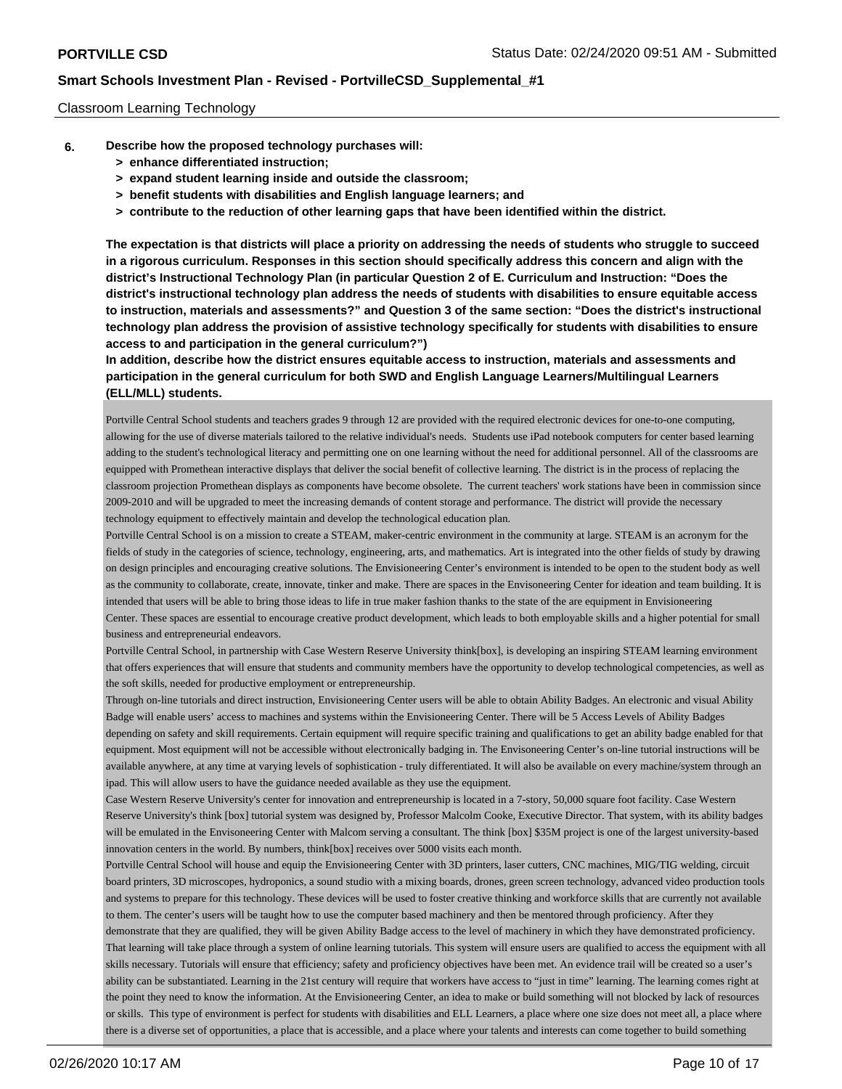### Classroom Learning Technology

- **6. Describe how the proposed technology purchases will:**
	- **> enhance differentiated instruction;**
	- **> expand student learning inside and outside the classroom;**
	- **> benefit students with disabilities and English language learners; and**
	- **> contribute to the reduction of other learning gaps that have been identified within the district.**

**The expectation is that districts will place a priority on addressing the needs of students who struggle to succeed in a rigorous curriculum. Responses in this section should specifically address this concern and align with the district's Instructional Technology Plan (in particular Question 2 of E. Curriculum and Instruction: "Does the district's instructional technology plan address the needs of students with disabilities to ensure equitable access to instruction, materials and assessments?" and Question 3 of the same section: "Does the district's instructional technology plan address the provision of assistive technology specifically for students with disabilities to ensure access to and participation in the general curriculum?")**

**In addition, describe how the district ensures equitable access to instruction, materials and assessments and participation in the general curriculum for both SWD and English Language Learners/Multilingual Learners (ELL/MLL) students.**

Portville Central School students and teachers grades 9 through 12 are provided with the required electronic devices for one-to-one computing, allowing for the use of diverse materials tailored to the relative individual's needs. Students use iPad notebook computers for center based learning adding to the student's technological literacy and permitting one on one learning without the need for additional personnel. All of the classrooms are equipped with Promethean interactive displays that deliver the social benefit of collective learning. The district is in the process of replacing the classroom projection Promethean displays as components have become obsolete. The current teachers' work stations have been in commission since 2009-2010 and will be upgraded to meet the increasing demands of content storage and performance. The district will provide the necessary technology equipment to effectively maintain and develop the technological education plan.

Portville Central School is on a mission to create a STEAM, maker-centric environment in the community at large. STEAM is an acronym for the fields of study in the categories of science, technology, engineering, arts, and mathematics. Art is integrated into the other fields of study by drawing on design principles and encouraging creative solutions. The Envisioneering Center's environment is intended to be open to the student body as well as the community to collaborate, create, innovate, tinker and make. There are spaces in the Envisoneering Center for ideation and team building. It is intended that users will be able to bring those ideas to life in true maker fashion thanks to the state of the are equipment in Envisioneering Center. These spaces are essential to encourage creative product development, which leads to both employable skills and a higher potential for small business and entrepreneurial endeavors.

Portville Central School, in partnership with Case Western Reserve University think[box], is developing an inspiring STEAM learning environment that offers experiences that will ensure that students and community members have the opportunity to develop technological competencies, as well as the soft skills, needed for productive employment or entrepreneurship.

Through on-line tutorials and direct instruction, Envisioneering Center users will be able to obtain Ability Badges. An electronic and visual Ability Badge will enable users' access to machines and systems within the Envisioneering Center. There will be 5 Access Levels of Ability Badges depending on safety and skill requirements. Certain equipment will require specific training and qualifications to get an ability badge enabled for that equipment. Most equipment will not be accessible without electronically badging in. The Envisoneering Center's on-line tutorial instructions will be available anywhere, at any time at varying levels of sophistication - truly differentiated. It will also be available on every machine/system through an ipad. This will allow users to have the guidance needed available as they use the equipment.

Case Western Reserve University's center for innovation and entrepreneurship is located in a 7-story, 50,000 square foot facility. Case Western Reserve University's think [box] tutorial system was designed by, Professor Malcolm Cooke, Executive Director. That system, with its ability badges will be emulated in the Envisoneering Center with Malcom serving a consultant. The think [box] \$35M project is one of the largest university-based innovation centers in the world. By numbers, think[box] receives over 5000 visits each month.

Portville Central School will house and equip the Envisioneering Center with 3D printers, laser cutters, CNC machines, MIG/TIG welding, circuit board printers, 3D microscopes, hydroponics, a sound studio with a mixing boards, drones, green screen technology, advanced video production tools and systems to prepare for this technology. These devices will be used to foster creative thinking and workforce skills that are currently not available to them. The center's users will be taught how to use the computer based machinery and then be mentored through proficiency. After they demonstrate that they are qualified, they will be given Ability Badge access to the level of machinery in which they have demonstrated proficiency. That learning will take place through a system of online learning tutorials. This system will ensure users are qualified to access the equipment with all skills necessary. Tutorials will ensure that efficiency; safety and proficiency objectives have been met. An evidence trail will be created so a user's ability can be substantiated. Learning in the 21st century will require that workers have access to "just in time" learning. The learning comes right at the point they need to know the information. At the Envisioneering Center, an idea to make or build something will not blocked by lack of resources

or skills. This type of environment is perfect for students with disabilities and ELL Learners, a place where one size does not meet all, a place where there is a diverse set of opportunities, a place that is accessible, and a place where your talents and interests can come together to build something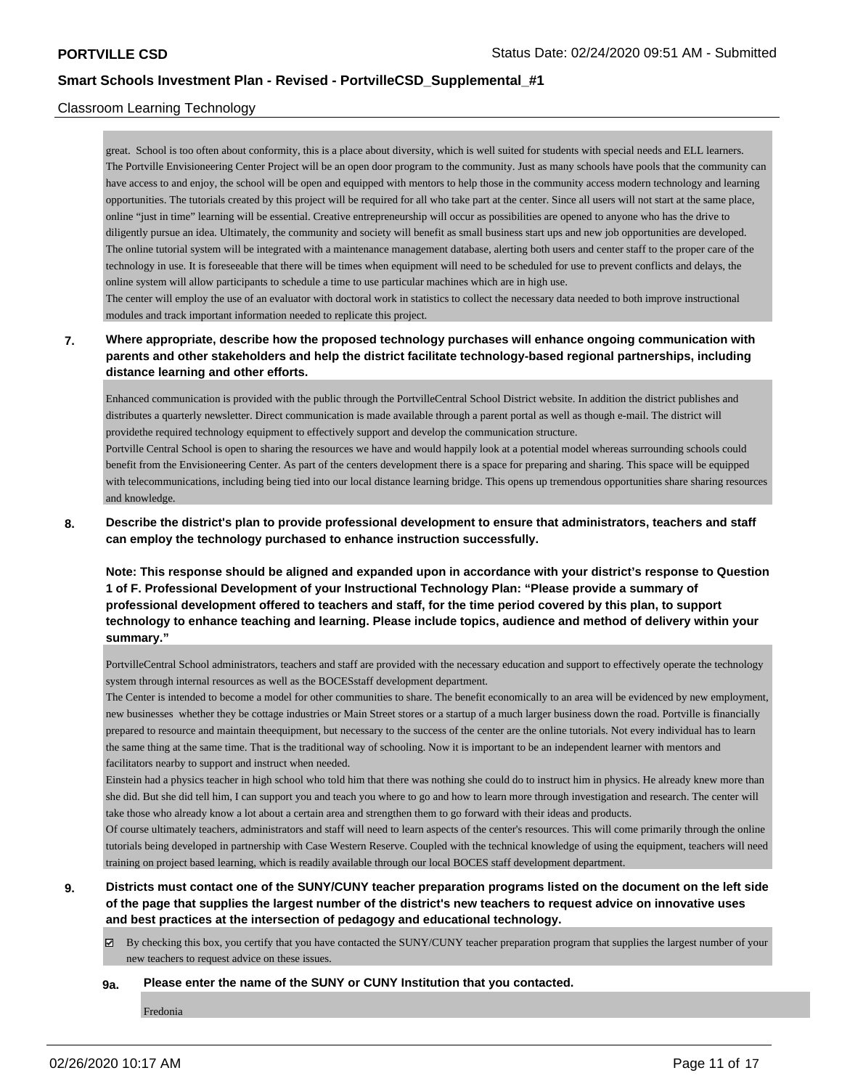### Classroom Learning Technology

and knowledge.

great. School is too often about conformity, this is a place about diversity, which is well suited for students with special needs and ELL learners. The Portville Envisioneering Center Project will be an open door program to the community. Just as many schools have pools that the community can have access to and enjoy, the school will be open and equipped with mentors to help those in the community access modern technology and learning opportunities. The tutorials created by this project will be required for all who take part at the center. Since all users will not start at the same place, online "just in time" learning will be essential. Creative entrepreneurship will occur as possibilities are opened to anyone who has the drive to diligently pursue an idea. Ultimately, the community and society will benefit as small business start ups and new job opportunities are developed. The online tutorial system will be integrated with a maintenance management database, alerting both users and center staff to the proper care of the technology in use. It is foreseeable that there will be times when equipment will need to be scheduled for use to prevent conflicts and delays, the online system will allow participants to schedule a time to use particular machines which are in high use.

The center will employ the use of an evaluator with doctoral work in statistics to collect the necessary data needed to both improve instructional modules and track important information needed to replicate this project.

## **7. Where appropriate, describe how the proposed technology purchases will enhance ongoing communication with parents and other stakeholders and help the district facilitate technology-based regional partnerships, including distance learning and other efforts.**

Enhanced communication is provided with the public through the PortvilleCentral School District website. In addition the district publishes and distributes a quarterly newsletter. Direct communication is made available through a parent portal as well as though e-mail. The district will providethe required technology equipment to effectively support and develop the communication structure. Portville Central School is open to sharing the resources we have and would happily look at a potential model whereas surrounding schools could benefit from the Envisioneering Center. As part of the centers development there is a space for preparing and sharing. This space will be equipped with telecommunications, including being tied into our local distance learning bridge. This opens up tremendous opportunities share sharing resources

**8. Describe the district's plan to provide professional development to ensure that administrators, teachers and staff can employ the technology purchased to enhance instruction successfully.**

**Note: This response should be aligned and expanded upon in accordance with your district's response to Question 1 of F. Professional Development of your Instructional Technology Plan: "Please provide a summary of professional development offered to teachers and staff, for the time period covered by this plan, to support technology to enhance teaching and learning. Please include topics, audience and method of delivery within your summary."**

PortvilleCentral School administrators, teachers and staff are provided with the necessary education and support to effectively operate the technology system through internal resources as well as the BOCESstaff development department.

The Center is intended to become a model for other communities to share. The benefit economically to an area will be evidenced by new employment, new businesses whether they be cottage industries or Main Street stores or a startup of a much larger business down the road. Portville is financially prepared to resource and maintain theequipment, but necessary to the success of the center are the online tutorials. Not every individual has to learn the same thing at the same time. That is the traditional way of schooling. Now it is important to be an independent learner with mentors and facilitators nearby to support and instruct when needed.

Einstein had a physics teacher in high school who told him that there was nothing she could do to instruct him in physics. He already knew more than she did. But she did tell him, I can support you and teach you where to go and how to learn more through investigation and research. The center will take those who already know a lot about a certain area and strengthen them to go forward with their ideas and products.

Of course ultimately teachers, administrators and staff will need to learn aspects of the center's resources. This will come primarily through the online tutorials being developed in partnership with Case Western Reserve. Coupled with the technical knowledge of using the equipment, teachers will need training on project based learning, which is readily available through our local BOCES staff development department.

- **9. Districts must contact one of the SUNY/CUNY teacher preparation programs listed on the document on the left side of the page that supplies the largest number of the district's new teachers to request advice on innovative uses and best practices at the intersection of pedagogy and educational technology.**
	- $\boxtimes$  By checking this box, you certify that you have contacted the SUNY/CUNY teacher preparation program that supplies the largest number of your new teachers to request advice on these issues.

#### **9a. Please enter the name of the SUNY or CUNY Institution that you contacted.**

Fredonia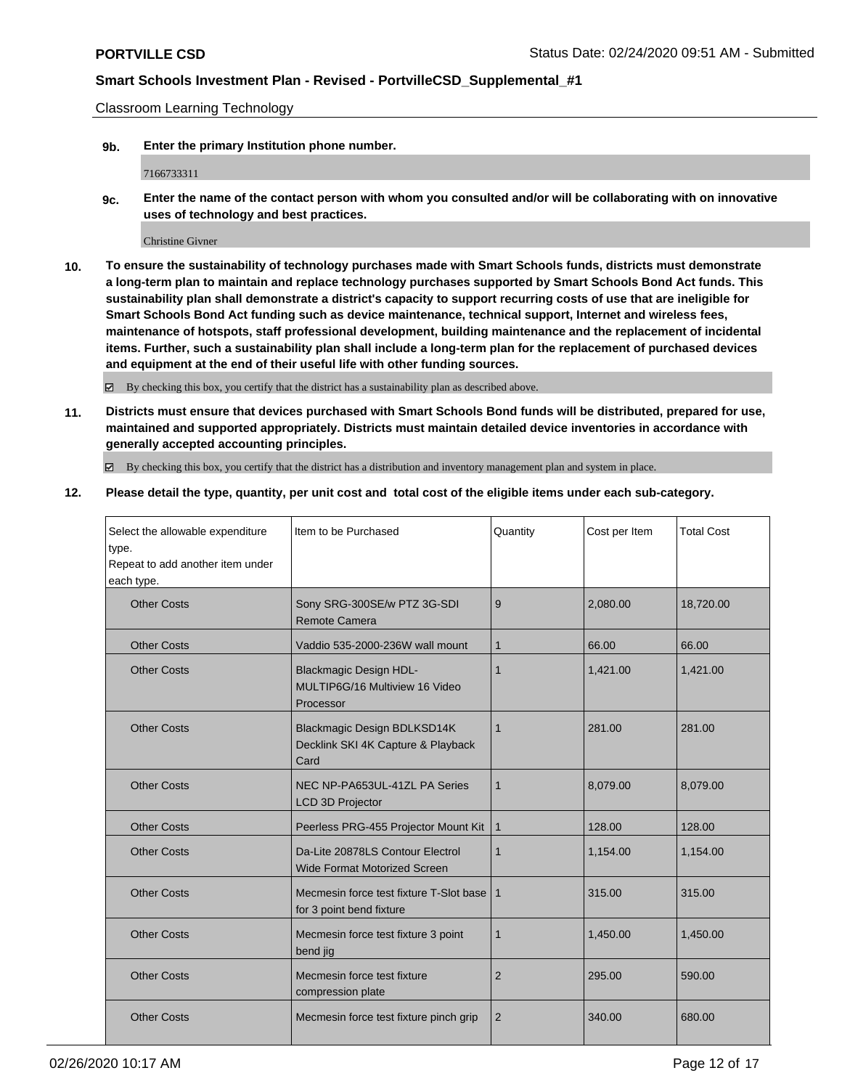Classroom Learning Technology

**9b. Enter the primary Institution phone number.**

7166733311

**9c. Enter the name of the contact person with whom you consulted and/or will be collaborating with on innovative uses of technology and best practices.**

Christine Givner

**10. To ensure the sustainability of technology purchases made with Smart Schools funds, districts must demonstrate a long-term plan to maintain and replace technology purchases supported by Smart Schools Bond Act funds. This sustainability plan shall demonstrate a district's capacity to support recurring costs of use that are ineligible for Smart Schools Bond Act funding such as device maintenance, technical support, Internet and wireless fees, maintenance of hotspots, staff professional development, building maintenance and the replacement of incidental items. Further, such a sustainability plan shall include a long-term plan for the replacement of purchased devices and equipment at the end of their useful life with other funding sources.**

By checking this box, you certify that the district has a sustainability plan as described above.

**11. Districts must ensure that devices purchased with Smart Schools Bond funds will be distributed, prepared for use, maintained and supported appropriately. Districts must maintain detailed device inventories in accordance with generally accepted accounting principles.**

By checking this box, you certify that the district has a distribution and inventory management plan and system in place.

**12. Please detail the type, quantity, per unit cost and total cost of the eligible items under each sub-category.**

| Select the allowable expenditure<br>type.<br>Repeat to add another item under<br>each type. | Item to be Purchased                                                         | Quantity       | Cost per Item | <b>Total Cost</b> |
|---------------------------------------------------------------------------------------------|------------------------------------------------------------------------------|----------------|---------------|-------------------|
| <b>Other Costs</b>                                                                          | Sony SRG-300SE/w PTZ 3G-SDI<br>Remote Camera                                 | 9              | 2,080.00      | 18,720.00         |
| <b>Other Costs</b>                                                                          | Vaddio 535-2000-236W wall mount                                              | $\mathbf 1$    | 66.00         | 66.00             |
| <b>Other Costs</b>                                                                          | <b>Blackmagic Design HDL-</b><br>MULTIP6G/16 Multiview 16 Video<br>Processor | 1              | 1,421.00      | 1,421.00          |
| <b>Other Costs</b>                                                                          | Blackmagic Design BDLKSD14K<br>Decklink SKI 4K Capture & Playback<br>Card    | $\mathbf 1$    | 281.00        | 281.00            |
| <b>Other Costs</b>                                                                          | NEC NP-PA653UL-41ZL PA Series<br><b>LCD 3D Projector</b>                     | $\mathbf 1$    | 8,079.00      | 8,079.00          |
| <b>Other Costs</b>                                                                          | Peerless PRG-455 Projector Mount Kit                                         | $\mathbf{1}$   | 128.00        | 128.00            |
| <b>Other Costs</b>                                                                          | Da-Lite 20878LS Contour Electrol<br><b>Wide Format Motorized Screen</b>      | $\mathbf 1$    | 1,154.00      | 1,154.00          |
| <b>Other Costs</b>                                                                          | Mecmesin force test fixture T-Slot base<br>for 3 point bend fixture          | $\mathbf 1$    | 315.00        | 315.00            |
| <b>Other Costs</b>                                                                          | Mecmesin force test fixture 3 point<br>bend jig                              | $\mathbf{1}$   | 1,450.00      | 1,450.00          |
| <b>Other Costs</b>                                                                          | Mecmesin force test fixture<br>compression plate                             | 2              | 295.00        | 590.00            |
| <b>Other Costs</b>                                                                          | Mecmesin force test fixture pinch grip                                       | $\overline{2}$ | 340.00        | 680.00            |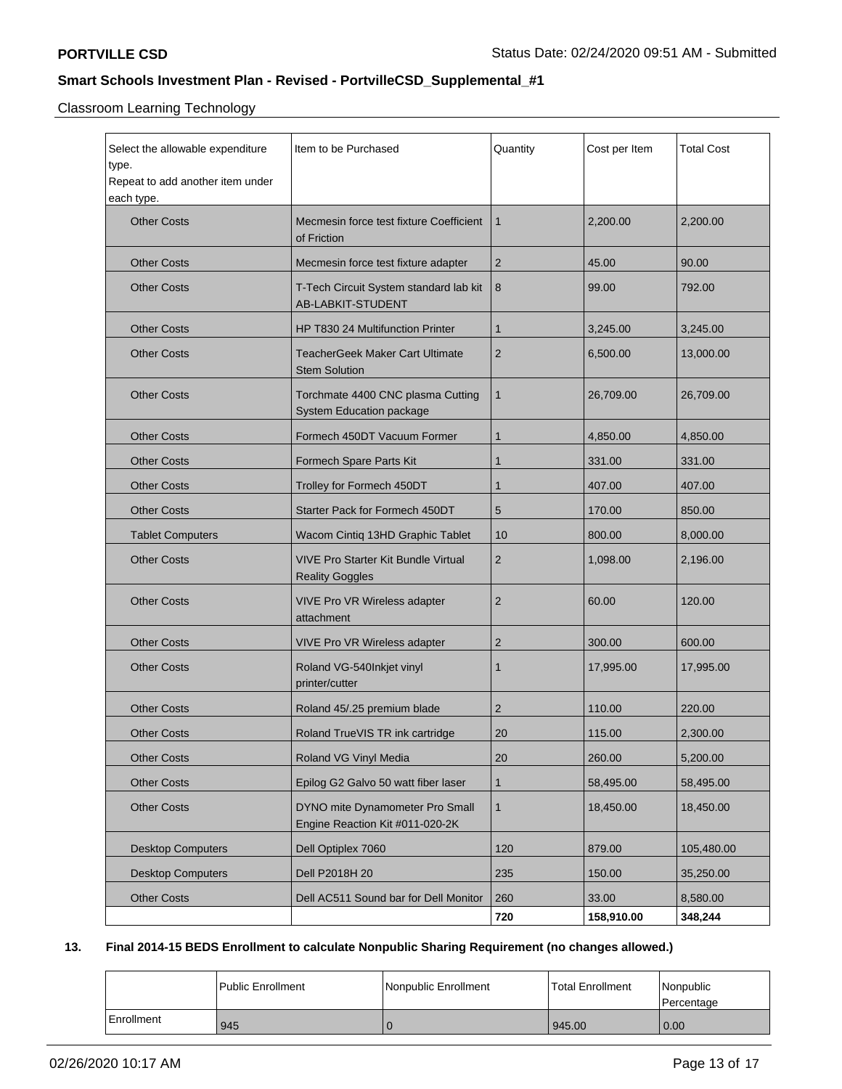Classroom Learning Technology

| Select the allowable expenditure<br>type.<br>Repeat to add another item under<br>each type. | Item to be Purchased                                                 | Quantity     | Cost per Item | Total Cost |
|---------------------------------------------------------------------------------------------|----------------------------------------------------------------------|--------------|---------------|------------|
| <b>Other Costs</b>                                                                          | Mecmesin force test fixture Coefficient<br>of Friction               | $\mathbf{1}$ | 2,200.00      | 2,200.00   |
| <b>Other Costs</b>                                                                          | Mecmesin force test fixture adapter                                  | 2            | 45.00         | 90.00      |
| <b>Other Costs</b>                                                                          | T-Tech Circuit System standard lab kit<br>AB-LABKIT-STUDENT          | 8            | 99.00         | 792.00     |
| <b>Other Costs</b>                                                                          | HP T830 24 Multifunction Printer                                     | 1            | 3,245.00      | 3,245.00   |
| <b>Other Costs</b>                                                                          | <b>TeacherGeek Maker Cart Ultimate</b><br><b>Stem Solution</b>       | 2            | 6,500.00      | 13,000.00  |
| <b>Other Costs</b>                                                                          | Torchmate 4400 CNC plasma Cutting<br>System Education package        | $\mathbf{1}$ | 26,709.00     | 26,709.00  |
| <b>Other Costs</b>                                                                          | Formech 450DT Vacuum Former                                          | 1            | 4,850.00      | 4,850.00   |
| <b>Other Costs</b>                                                                          | Formech Spare Parts Kit                                              | 1            | 331.00        | 331.00     |
| <b>Other Costs</b>                                                                          | Trolley for Formech 450DT                                            | 1            | 407.00        | 407.00     |
| <b>Other Costs</b>                                                                          | Starter Pack for Formech 450DT                                       | 5            | 170.00        | 850.00     |
| <b>Tablet Computers</b>                                                                     | Wacom Cintiq 13HD Graphic Tablet                                     | 10           | 800.00        | 8,000.00   |
| <b>Other Costs</b>                                                                          | <b>VIVE Pro Starter Kit Bundle Virtual</b><br><b>Reality Goggles</b> | 2            | 1,098.00      | 2,196.00   |
| <b>Other Costs</b>                                                                          | VIVE Pro VR Wireless adapter<br>attachment                           | 2            | 60.00         | 120.00     |
| <b>Other Costs</b>                                                                          | <b>VIVE Pro VR Wireless adapter</b>                                  | 2            | 300.00        | 600.00     |
| <b>Other Costs</b>                                                                          | Roland VG-540Inkjet vinyl<br>printer/cutter                          | 1            | 17,995.00     | 17,995.00  |
| <b>Other Costs</b>                                                                          | Roland 45/.25 premium blade                                          | 2            | 110.00        | 220.00     |
| <b>Other Costs</b>                                                                          | Roland TrueVIS TR ink cartridge                                      | 20           | 115.00        | 2,300.00   |
| <b>Other Costs</b>                                                                          | Roland VG Vinyl Media                                                | 20           | 260.00        | 5,200.00   |
| <b>Other Costs</b>                                                                          | Epilog G2 Galvo 50 watt fiber laser                                  | 1            | 58,495.00     | 58,495.00  |
| <b>Other Costs</b>                                                                          | DYNO mite Dynamometer Pro Small<br>Engine Reaction Kit #011-020-2K   | 1            | 18,450.00     | 18,450.00  |
| <b>Desktop Computers</b>                                                                    | Dell Optiplex 7060                                                   | 120          | 879.00        | 105,480.00 |
| <b>Desktop Computers</b>                                                                    | Dell P2018H 20                                                       | 235          | 150.00        | 35,250.00  |
| <b>Other Costs</b>                                                                          | Dell AC511 Sound bar for Dell Monitor                                | 260          | 33.00         | 8,580.00   |
|                                                                                             |                                                                      | 720          | 158,910.00    | 348,244    |

## **13. Final 2014-15 BEDS Enrollment to calculate Nonpublic Sharing Requirement (no changes allowed.)**

|            | l Public Enrollment | Nonpublic Enrollment | <b>Total Enrollment</b> | Nonpublic<br>l Percentage |
|------------|---------------------|----------------------|-------------------------|---------------------------|
| Enrollment | 945                 |                      | 945.00                  | 0.00                      |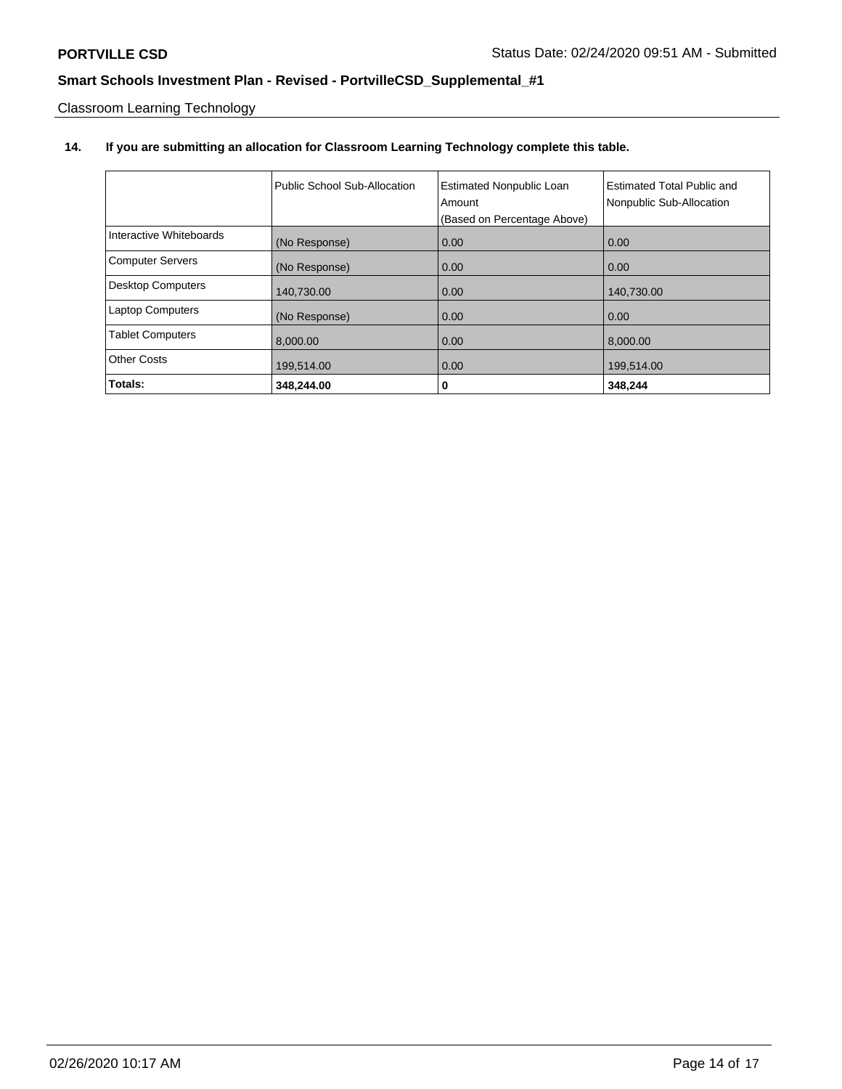Classroom Learning Technology

# **14. If you are submitting an allocation for Classroom Learning Technology complete this table.**

|                          | Public School Sub-Allocation | <b>Estimated Nonpublic Loan</b><br>Amount<br>(Based on Percentage Above) | <b>Estimated Total Public and</b><br>Nonpublic Sub-Allocation |
|--------------------------|------------------------------|--------------------------------------------------------------------------|---------------------------------------------------------------|
| Interactive Whiteboards  | (No Response)                | 0.00                                                                     | 0.00                                                          |
| <b>Computer Servers</b>  | (No Response)                | 0.00                                                                     | 0.00                                                          |
| <b>Desktop Computers</b> | 140,730.00                   | 0.00                                                                     | 140,730.00                                                    |
| <b>Laptop Computers</b>  | (No Response)                | 0.00                                                                     | 0.00                                                          |
| <b>Tablet Computers</b>  | 8,000.00                     | 0.00                                                                     | 8,000.00                                                      |
| <b>Other Costs</b>       | 199,514.00                   | 0.00                                                                     | 199,514.00                                                    |
| Totals:                  | 348,244.00                   | 0                                                                        | 348,244                                                       |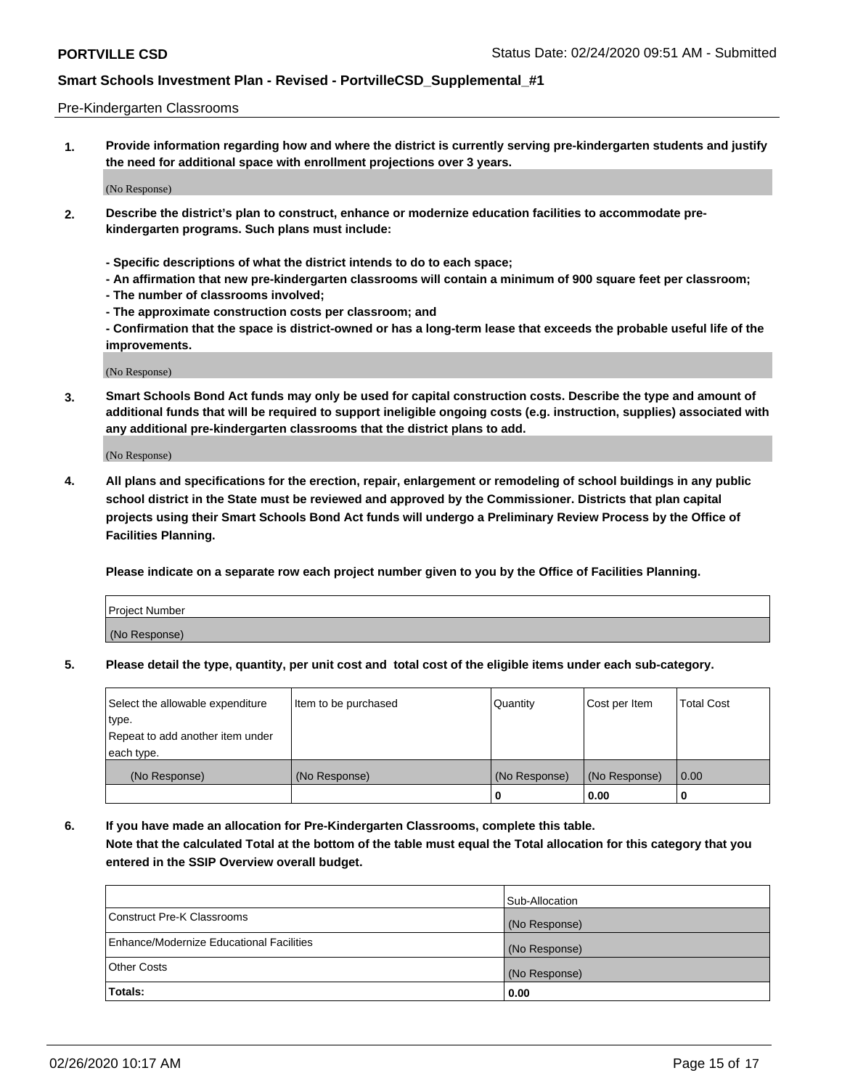#### Pre-Kindergarten Classrooms

**1. Provide information regarding how and where the district is currently serving pre-kindergarten students and justify the need for additional space with enrollment projections over 3 years.**

(No Response)

- **2. Describe the district's plan to construct, enhance or modernize education facilities to accommodate prekindergarten programs. Such plans must include:**
	- **Specific descriptions of what the district intends to do to each space;**
	- **An affirmation that new pre-kindergarten classrooms will contain a minimum of 900 square feet per classroom;**
	- **The number of classrooms involved;**
	- **The approximate construction costs per classroom; and**
	- **Confirmation that the space is district-owned or has a long-term lease that exceeds the probable useful life of the improvements.**

(No Response)

**3. Smart Schools Bond Act funds may only be used for capital construction costs. Describe the type and amount of additional funds that will be required to support ineligible ongoing costs (e.g. instruction, supplies) associated with any additional pre-kindergarten classrooms that the district plans to add.**

(No Response)

**4. All plans and specifications for the erection, repair, enlargement or remodeling of school buildings in any public school district in the State must be reviewed and approved by the Commissioner. Districts that plan capital projects using their Smart Schools Bond Act funds will undergo a Preliminary Review Process by the Office of Facilities Planning.**

**Please indicate on a separate row each project number given to you by the Office of Facilities Planning.**

| Project Number |  |
|----------------|--|
| (No Response)  |  |
|                |  |

**5. Please detail the type, quantity, per unit cost and total cost of the eligible items under each sub-category.**

| Select the allowable expenditure | Item to be purchased | Quantity      | Cost per Item | <b>Total Cost</b> |
|----------------------------------|----------------------|---------------|---------------|-------------------|
| type.                            |                      |               |               |                   |
| Repeat to add another item under |                      |               |               |                   |
| each type.                       |                      |               |               |                   |
| (No Response)                    | (No Response)        | (No Response) | (No Response) | 0.00              |
|                                  |                      | U             | 0.00          |                   |

**6. If you have made an allocation for Pre-Kindergarten Classrooms, complete this table. Note that the calculated Total at the bottom of the table must equal the Total allocation for this category that you entered in the SSIP Overview overall budget.**

|                                          | Sub-Allocation |
|------------------------------------------|----------------|
| Construct Pre-K Classrooms               | (No Response)  |
| Enhance/Modernize Educational Facilities | (No Response)  |
| <b>Other Costs</b>                       | (No Response)  |
| Totals:                                  | 0.00           |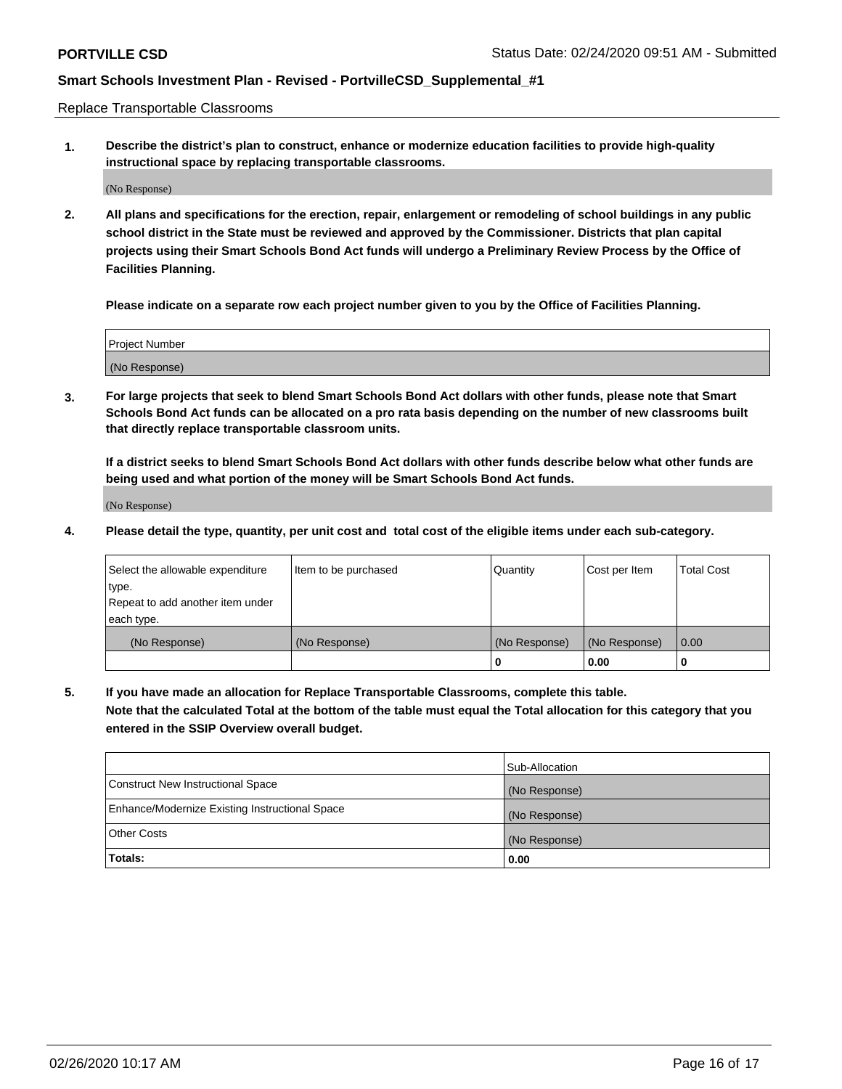Replace Transportable Classrooms

**1. Describe the district's plan to construct, enhance or modernize education facilities to provide high-quality instructional space by replacing transportable classrooms.**

(No Response)

**2. All plans and specifications for the erection, repair, enlargement or remodeling of school buildings in any public school district in the State must be reviewed and approved by the Commissioner. Districts that plan capital projects using their Smart Schools Bond Act funds will undergo a Preliminary Review Process by the Office of Facilities Planning.**

**Please indicate on a separate row each project number given to you by the Office of Facilities Planning.**

| Project Number |  |
|----------------|--|
|                |  |
|                |  |
|                |  |
| (No Response)  |  |
|                |  |
|                |  |

**3. For large projects that seek to blend Smart Schools Bond Act dollars with other funds, please note that Smart Schools Bond Act funds can be allocated on a pro rata basis depending on the number of new classrooms built that directly replace transportable classroom units.**

**If a district seeks to blend Smart Schools Bond Act dollars with other funds describe below what other funds are being used and what portion of the money will be Smart Schools Bond Act funds.**

(No Response)

**4. Please detail the type, quantity, per unit cost and total cost of the eligible items under each sub-category.**

| Select the allowable expenditure | Item to be purchased | Quantity      | Cost per Item | Total Cost |
|----------------------------------|----------------------|---------------|---------------|------------|
| ∣type.                           |                      |               |               |            |
| Repeat to add another item under |                      |               |               |            |
| each type.                       |                      |               |               |            |
| (No Response)                    | (No Response)        | (No Response) | (No Response) | 0.00       |
|                                  |                      | u             | 0.00          |            |

**5. If you have made an allocation for Replace Transportable Classrooms, complete this table. Note that the calculated Total at the bottom of the table must equal the Total allocation for this category that you entered in the SSIP Overview overall budget.**

|                                                | Sub-Allocation |
|------------------------------------------------|----------------|
| Construct New Instructional Space              | (No Response)  |
| Enhance/Modernize Existing Instructional Space | (No Response)  |
| Other Costs                                    | (No Response)  |
| Totals:                                        | 0.00           |